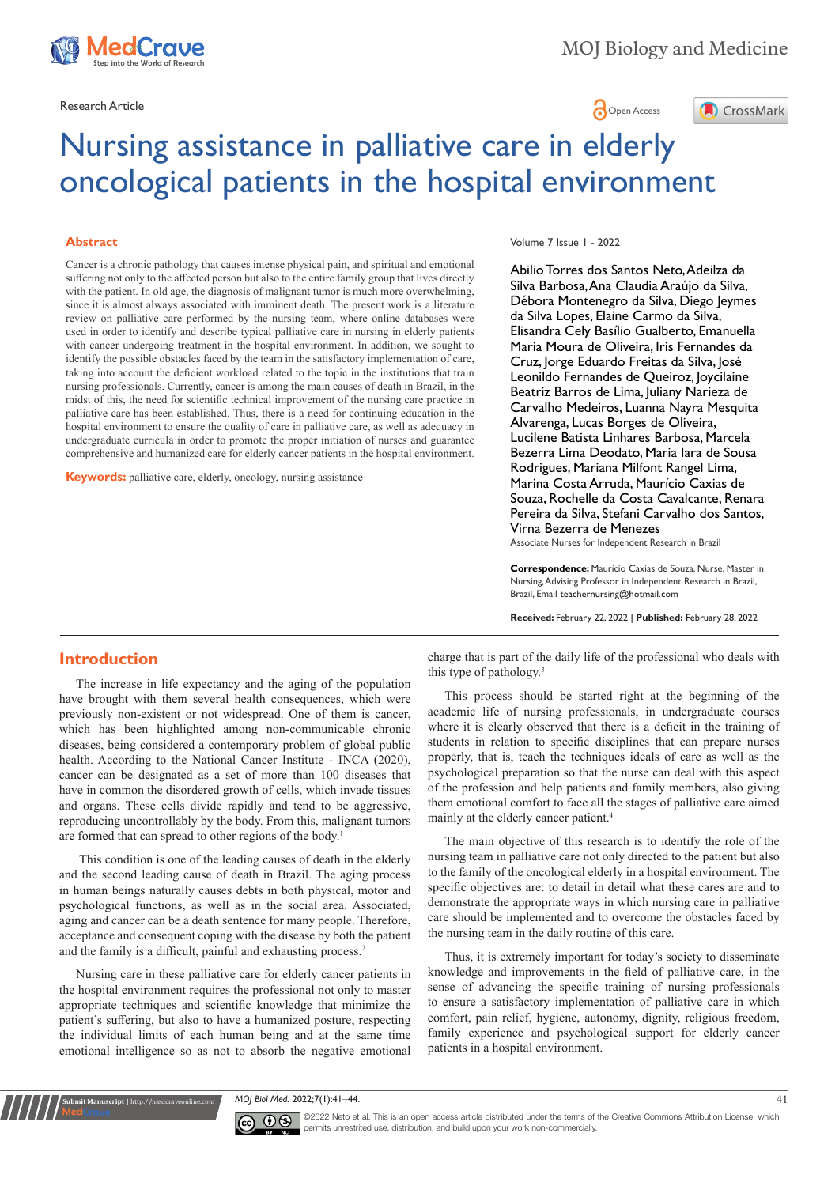



# Nursing assistance in palliative care in elderly oncological patients in the hospital environment

#### **Abstract**

Cancer is a chronic pathology that causes intense physical pain, and spiritual and emotional suffering not only to the affected person but also to the entire family group that lives directly with the patient. In old age, the diagnosis of malignant tumor is much more overwhelming, since it is almost always associated with imminent death. The present work is a literature review on palliative care performed by the nursing team, where online databases were used in order to identify and describe typical palliative care in nursing in elderly patients with cancer undergoing treatment in the hospital environment. In addition, we sought to identify the possible obstacles faced by the team in the satisfactory implementation of care, taking into account the deficient workload related to the topic in the institutions that train nursing professionals. Currently, cancer is among the main causes of death in Brazil, in the midst of this, the need for scientific technical improvement of the nursing care practice in palliative care has been established. Thus, there is a need for continuing education in the hospital environment to ensure the quality of care in palliative care, as well as adequacy in undergraduate curricula in order to promote the proper initiation of nurses and guarantee comprehensive and humanized care for elderly cancer patients in the hospital environment.

**Keywords:** palliative care, elderly, oncology, nursing assistance

#### Volume 7 Issue 1 - 2022

Abilio Torres dos Santos Neto, Adeilza da Silva Barbosa, Ana Claudia Araújo da Silva, Débora Montenegro da Silva, Diego Jeymes da Silva Lopes, Elaine Carmo da Silva, Elisandra Cely Basílio Gualberto, Emanuella Maria Moura de Oliveira, Iris Fernandes da Cruz, Jorge Eduardo Freitas da Silva, José Leonildo Fernandes de Queiroz, Joycilaine Beatriz Barros de Lima, Juliany Narieza de Carvalho Medeiros, Luanna Nayra Mesquita Alvarenga, Lucas Borges de Oliveira, Lucilene Batista Linhares Barbosa, Marcela Bezerra Lima Deodato, Maria Iara de Sousa Rodrigues, Mariana Milfont Rangel Lima, Marina Costa Arruda, Maurício Caxias de Souza, Rochelle da Costa Cavalcante, Renara Pereira da Silva, Stefani Carvalho dos Santos, Virna Bezerra de Menezes

Associate Nurses for Independent Research in Brazil

**Correspondence:** Maurício Caxias de Souza, Nurse, Master in Nursing, Advising Professor in Independent Research in Brazil, Brazil, Email teachernursing@hotmail.com

**Received:** February 22, 2022 | **Published:** February 28, 2022

# **Introduction**

The increase in life expectancy and the aging of the population have brought with them several health consequences, which were previously non-existent or not widespread. One of them is cancer, which has been highlighted among non-communicable chronic diseases, being considered a contemporary problem of global public health. According to the National Cancer Institute - INCA (2020), cancer can be designated as a set of more than 100 diseases that have in common the disordered growth of cells, which invade tissues and organs. These cells divide rapidly and tend to be aggressive, reproducing uncontrollably by the body. From this, malignant tumors are formed that can spread to other regions of the body.<sup>1</sup>

This condition is one of the leading causes of death in the elderly and the second leading cause of death in Brazil. The aging process in human beings naturally causes debts in both physical, motor and psychological functions, as well as in the social area. Associated, aging and cancer can be a death sentence for many people. Therefore, acceptance and consequent coping with the disease by both the patient and the family is a difficult, painful and exhausting process.<sup>2</sup>

Nursing care in these palliative care for elderly cancer patients in the hospital environment requires the professional not only to master appropriate techniques and scientific knowledge that minimize the patient's suffering, but also to have a humanized posture, respecting the individual limits of each human being and at the same time emotional intelligence so as not to absorb the negative emotional

**Krit Manuscript** | http://medcraveonline.c

charge that is part of the daily life of the professional who deals with this type of pathology.<sup>3</sup>

This process should be started right at the beginning of the academic life of nursing professionals, in undergraduate courses where it is clearly observed that there is a deficit in the training of students in relation to specific disciplines that can prepare nurses properly, that is, teach the techniques ideals of care as well as the psychological preparation so that the nurse can deal with this aspect of the profession and help patients and family members, also giving them emotional comfort to face all the stages of palliative care aimed mainly at the elderly cancer patient.4

The main objective of this research is to identify the role of the nursing team in palliative care not only directed to the patient but also to the family of the oncological elderly in a hospital environment. The specific objectives are: to detail in detail what these cares are and to demonstrate the appropriate ways in which nursing care in palliative care should be implemented and to overcome the obstacles faced by the nursing team in the daily routine of this care.

Thus, it is extremely important for today's society to disseminate knowledge and improvements in the field of palliative care, in the sense of advancing the specific training of nursing professionals to ensure a satisfactory implementation of palliative care in which comfort, pain relief, hygiene, autonomy, dignity, religious freedom, family experience and psychological support for elderly cancer patients in a hospital environment.

*MOJ Biol Med.* 2022;7(1):41‒44. 41



©2022 Neto et al. This is an open access article distributed under the terms of the Creative Commons Attribution License, which permits unrestrited use, distribution, and build upon your work non-commercially.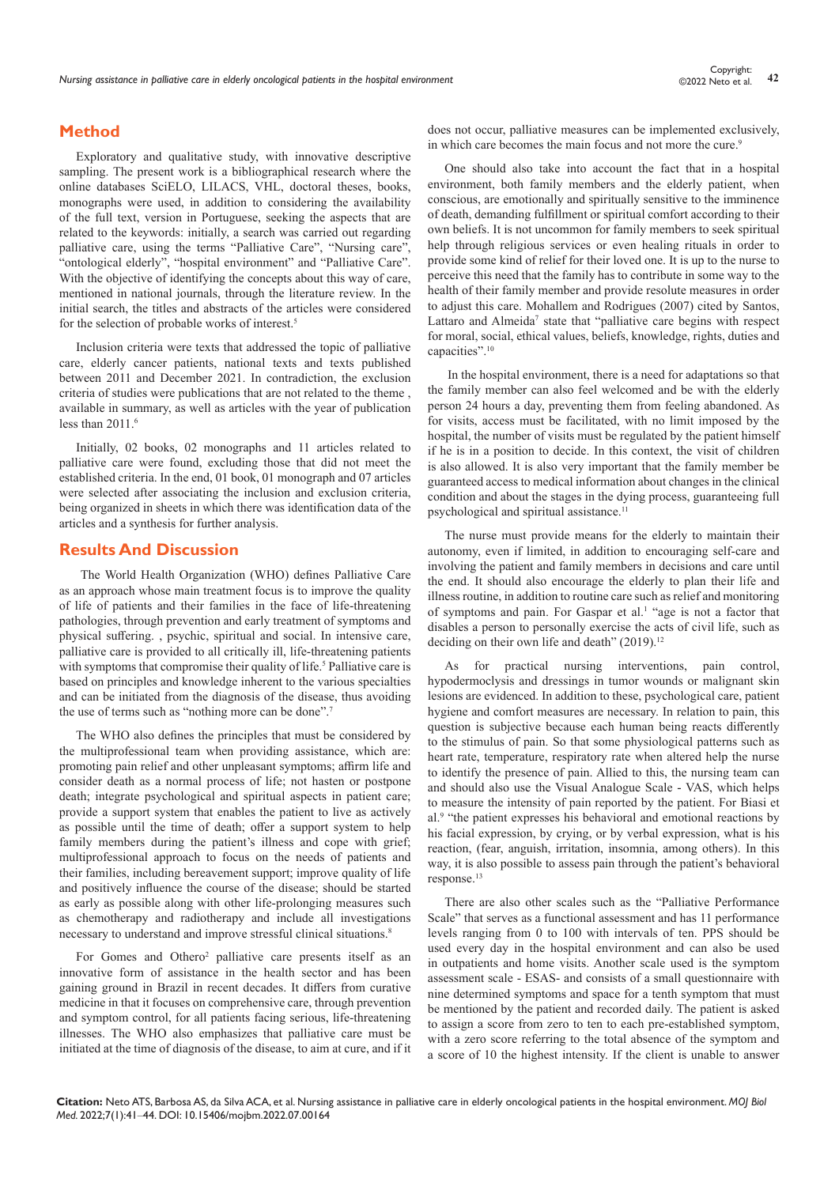# **Method**

Exploratory and qualitative study, with innovative descriptive sampling. The present work is a bibliographical research where the online databases SciELO, LILACS, VHL, doctoral theses, books, monographs were used, in addition to considering the availability of the full text, version in Portuguese, seeking the aspects that are related to the keywords: initially, a search was carried out regarding palliative care, using the terms "Palliative Care", "Nursing care", "ontological elderly", "hospital environment" and "Palliative Care". With the objective of identifying the concepts about this way of care, mentioned in national journals, through the literature review. In the initial search, the titles and abstracts of the articles were considered for the selection of probable works of interest.<sup>5</sup>

Inclusion criteria were texts that addressed the topic of palliative care, elderly cancer patients, national texts and texts published between 2011 and December 2021. In contradiction, the exclusion criteria of studies were publications that are not related to the theme , available in summary, as well as articles with the year of publication less than 2011.<sup>6</sup>

Initially, 02 books, 02 monographs and 11 articles related to palliative care were found, excluding those that did not meet the established criteria. In the end, 01 book, 01 monograph and 07 articles were selected after associating the inclusion and exclusion criteria, being organized in sheets in which there was identification data of the articles and a synthesis for further analysis.

### **Results And Discussion**

The World Health Organization (WHO) defines Palliative Care as an approach whose main treatment focus is to improve the quality of life of patients and their families in the face of life-threatening pathologies, through prevention and early treatment of symptoms and physical suffering. , psychic, spiritual and social. In intensive care, palliative care is provided to all critically ill, life-threatening patients with symptoms that compromise their quality of life.<sup>5</sup> Palliative care is based on principles and knowledge inherent to the various specialties and can be initiated from the diagnosis of the disease, thus avoiding the use of terms such as "nothing more can be done".<sup>7</sup>

The WHO also defines the principles that must be considered by the multiprofessional team when providing assistance, which are: promoting pain relief and other unpleasant symptoms; affirm life and consider death as a normal process of life; not hasten or postpone death; integrate psychological and spiritual aspects in patient care; provide a support system that enables the patient to live as actively as possible until the time of death; offer a support system to help family members during the patient's illness and cope with grief; multiprofessional approach to focus on the needs of patients and their families, including bereavement support; improve quality of life and positively influence the course of the disease; should be started as early as possible along with other life-prolonging measures such as chemotherapy and radiotherapy and include all investigations necessary to understand and improve stressful clinical situations.<sup>8</sup>

For Gomes and Othero<sup>2</sup> palliative care presents itself as an innovative form of assistance in the health sector and has been gaining ground in Brazil in recent decades. It differs from curative medicine in that it focuses on comprehensive care, through prevention and symptom control, for all patients facing serious, life-threatening illnesses. The WHO also emphasizes that palliative care must be initiated at the time of diagnosis of the disease, to aim at cure, and if it does not occur, palliative measures can be implemented exclusively, in which care becomes the main focus and not more the cure.<sup>9</sup>

One should also take into account the fact that in a hospital environment, both family members and the elderly patient, when conscious, are emotionally and spiritually sensitive to the imminence of death, demanding fulfillment or spiritual comfort according to their own beliefs. It is not uncommon for family members to seek spiritual help through religious services or even healing rituals in order to provide some kind of relief for their loved one. It is up to the nurse to perceive this need that the family has to contribute in some way to the health of their family member and provide resolute measures in order to adjust this care. Mohallem and Rodrigues (2007) cited by Santos, Lattaro and Almeida<sup>7</sup> state that "palliative care begins with respect for moral, social, ethical values, beliefs, knowledge, rights, duties and capacities".10

 In the hospital environment, there is a need for adaptations so that the family member can also feel welcomed and be with the elderly person 24 hours a day, preventing them from feeling abandoned. As for visits, access must be facilitated, with no limit imposed by the hospital, the number of visits must be regulated by the patient himself if he is in a position to decide. In this context, the visit of children is also allowed. It is also very important that the family member be guaranteed access to medical information about changes in the clinical condition and about the stages in the dying process, guaranteeing full psychological and spiritual assistance.11

The nurse must provide means for the elderly to maintain their autonomy, even if limited, in addition to encouraging self-care and involving the patient and family members in decisions and care until the end. It should also encourage the elderly to plan their life and illness routine, in addition to routine care such as relief and monitoring of symptoms and pain. For Gaspar et al.<sup>1</sup> "age is not a factor that disables a person to personally exercise the acts of civil life, such as deciding on their own life and death" (2019).<sup>12</sup>

As for practical nursing interventions, pain control, hypodermoclysis and dressings in tumor wounds or malignant skin lesions are evidenced. In addition to these, psychological care, patient hygiene and comfort measures are necessary. In relation to pain, this question is subjective because each human being reacts differently to the stimulus of pain. So that some physiological patterns such as heart rate, temperature, respiratory rate when altered help the nurse to identify the presence of pain. Allied to this, the nursing team can and should also use the Visual Analogue Scale - VAS, which helps to measure the intensity of pain reported by the patient. For Biasi et al.9 "the patient expresses his behavioral and emotional reactions by his facial expression, by crying, or by verbal expression, what is his reaction, (fear, anguish, irritation, insomnia, among others). In this way, it is also possible to assess pain through the patient's behavioral response.13

There are also other scales such as the "Palliative Performance Scale" that serves as a functional assessment and has 11 performance levels ranging from 0 to 100 with intervals of ten. PPS should be used every day in the hospital environment and can also be used in outpatients and home visits. Another scale used is the symptom assessment scale - ESAS- and consists of a small questionnaire with nine determined symptoms and space for a tenth symptom that must be mentioned by the patient and recorded daily. The patient is asked to assign a score from zero to ten to each pre-established symptom, with a zero score referring to the total absence of the symptom and a score of 10 the highest intensity. If the client is unable to answer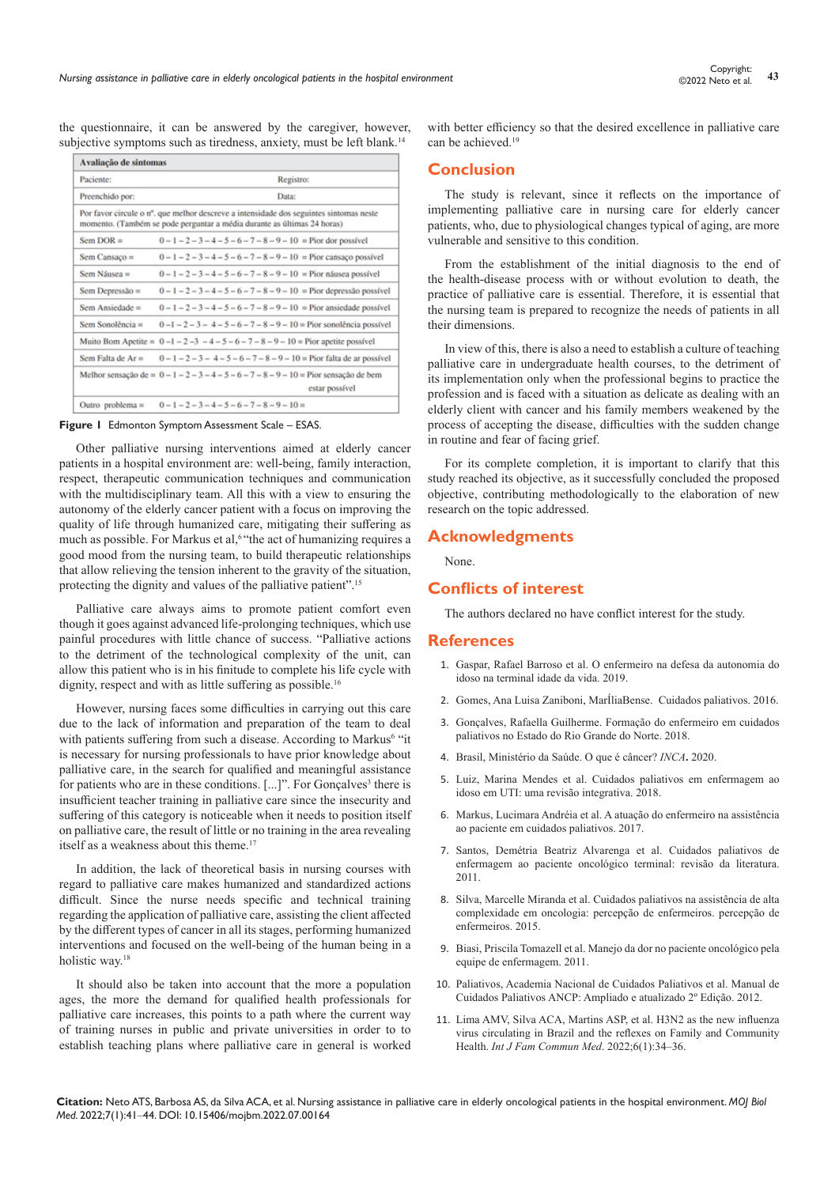the questionnaire, it can be answered by the caregiver, however, subjective symptoms such as tiredness, anxiety, must be left blank.<sup>14</sup>

| Avaliação de sintomas |                                                                                                                                                                   |
|-----------------------|-------------------------------------------------------------------------------------------------------------------------------------------------------------------|
| Paciente:             | Registro:                                                                                                                                                         |
| Preenchido por:       | Data:                                                                                                                                                             |
|                       | Por favor circule o n°, que melhor descreve a intensidade dos seguintes sintomas neste<br>momento. (Também se pode perguntar a média durante as últimas 24 horas) |
| Sem DOR $=$           | $0-1-2-3-4-5-6-7-8-9-10$ = Pior dor possível                                                                                                                      |
| $Sem$ Cansaço =       | $0-1-2-3-4-5-6-7-8-9-10 =$ Pior cansaco possível                                                                                                                  |
| Sem Náusea =          | $0-1-2-3-4-5-6-7-8-9-10$ = Pior náusea possível                                                                                                                   |
| Sem Depressão $=$     | $0-1-2-3-4-5-6-7-8-9-10 =$ Pior depressão possível                                                                                                                |
| Sem Ansiedade $=$     | $0-1-2-3-4-5-6-7-8-9-10$ = Pior ansiedade possível                                                                                                                |
| Sem Sonolência $=$    | $0-1-2-3-4-5-6-7-8-9-10$ = Pior sonolência possível                                                                                                               |
| Muito Bom Apetite $=$ | $0-1-2-3-4-5-6-7-8-9-10$ = Pior apetite possível                                                                                                                  |
| Sem Falta de Ar $=$   | $0-1-2-3-4-5-6-7-8-9-10$ = Pior falta de ar possível                                                                                                              |
|                       | Melhor sensação de = $0 - 1 - 2 - 3 - 4 - 5 - 6 - 7 - 8 - 9 - 10 =$ Pior sensação de bem<br>estar possível                                                        |
| Outro problema $=$    | $0-1-2-3-4-5-6-7-8-9-10=$                                                                                                                                         |



Other palliative nursing interventions aimed at elderly cancer patients in a hospital environment are: well-being, family interaction, respect, therapeutic communication techniques and communication with the multidisciplinary team. All this with a view to ensuring the autonomy of the elderly cancer patient with a focus on improving the quality of life through humanized care, mitigating their suffering as much as possible. For Markus et al,<sup>6</sup> "the act of humanizing requires a good mood from the nursing team, to build therapeutic relationships that allow relieving the tension inherent to the gravity of the situation, protecting the dignity and values of the palliative patient". 15

Palliative care always aims to promote patient comfort even though it goes against advanced life-prolonging techniques, which use painful procedures with little chance of success. "Palliative actions to the detriment of the technological complexity of the unit, can allow this patient who is in his finitude to complete his life cycle with dignity, respect and with as little suffering as possible.<sup>16</sup>

However, nursing faces some difficulties in carrying out this care due to the lack of information and preparation of the team to deal with patients suffering from such a disease. According to Markus<sup>6</sup> "it is necessary for nursing professionals to have prior knowledge about palliative care, in the search for qualified and meaningful assistance for patients who are in these conditions.  $[...]$ ". For Gonçalves<sup>3</sup> there is insufficient teacher training in palliative care since the insecurity and suffering of this category is noticeable when it needs to position itself on palliative care, the result of little or no training in the area revealing itself as a weakness about this theme.<sup>17</sup>

In addition, the lack of theoretical basis in nursing courses with regard to palliative care makes humanized and standardized actions difficult. Since the nurse needs specific and technical training regarding the application of palliative care, assisting the client affected by the different types of cancer in all its stages, performing humanized interventions and focused on the well-being of the human being in a holistic way.18

It should also be taken into account that the more a population ages, the more the demand for qualified health professionals for palliative care increases, this points to a path where the current way of training nurses in public and private universities in order to to establish teaching plans where palliative care in general is worked

with better efficiency so that the desired excellence in palliative care can be achieved.<sup>19</sup>

# **Conclusion**

The study is relevant, since it reflects on the importance of implementing palliative care in nursing care for elderly cancer patients, who, due to physiological changes typical of aging, are more vulnerable and sensitive to this condition.

From the establishment of the initial diagnosis to the end of the health-disease process with or without evolution to death, the practice of palliative care is essential. Therefore, it is essential that the nursing team is prepared to recognize the needs of patients in all their dimensions.

In view of this, there is also a need to establish a culture of teaching palliative care in undergraduate health courses, to the detriment of its implementation only when the professional begins to practice the profession and is faced with a situation as delicate as dealing with an elderly client with cancer and his family members weakened by the process of accepting the disease, difficulties with the sudden change in routine and fear of facing grief.

For its complete completion, it is important to clarify that this study reached its objective, as it successfully concluded the proposed objective, contributing methodologically to the elaboration of new research on the topic addressed.

## **Acknowledgments**

None.

#### **Conflicts of interest**

The authors declared no have conflict interest for the study.

#### **References**

- 1. Gaspar, Rafael Barroso et al. [O enfermeiro na defesa da autonomia do](https://www.scielo.br/j/reben/a/LBB5M8K86nkWZYz5rTSkBXz/?format=pdf&lang=pt)  [idoso na terminal idade da vida. 2019.](https://www.scielo.br/j/reben/a/LBB5M8K86nkWZYz5rTSkBXz/?format=pdf&lang=pt)
- 2. [Gomes, Ana Luisa Zaniboni, MarÍliaBense. Cuidados paliativos. 2016.](https://doi.org/10.1590/s0103-40142016.30880011)
- 3. Gonçalves, Rafaella Guilherme. [Formação do enfermeiro em cuidados](https://repositorio.ufrn.br/jspui/handle/123456789/26699)  [paliativos no Estado do Rio Grande do Norte. 2018.](https://repositorio.ufrn.br/jspui/handle/123456789/26699)
- 4. [Brasil, Ministério da Saúde.](https://www.inca.gov.br/o-que-e-cancer) O que é câncer? *INCA***.** 2020.
- 5. Luiz, Marina Mendes et al. [Cuidados paliativos em enfermagem ao](http://www.seer.unirio.br/index.php/cuidadofundamental/article/view/5051/pdf_1)  [idoso em UTI: uma revisão integrativa. 2018.](http://www.seer.unirio.br/index.php/cuidadofundamental/article/view/5051/pdf_1)
- 6. Markus, Lucimara Andréia et al. [A atuação do enfermeiro na assistência](http://www.herrero.com.br/files/revista/file808a997f5fc0c522425922dc99ca39b7.pdf)  [ao paciente em cuidados paliativos. 2017.](http://www.herrero.com.br/files/revista/file808a997f5fc0c522425922dc99ca39b7.pdf)
- 7. [Santos, Demétria Beatriz Alvarenga](http://www.libertas.edu.br/revistas/index.php/riclibertas/article/view/14/6) et al. Cuidados paliativos de [enfermagem ao paciente oncológico terminal: revisão da literatura.](http://www.libertas.edu.br/revistas/index.php/riclibertas/article/view/14/6)  [2011.](http://www.libertas.edu.br/revistas/index.php/riclibertas/article/view/14/6)
- 8. Silva, Marcelle Miranda et al. [Cuidados paliativos na assistência de alta](https://www.scielo.br/scielo.php?script=sci_arttext&pid=S1414-81452015000300460)  [complexidade em oncologia: percepção de enfermeiros. percepção de](https://www.scielo.br/scielo.php?script=sci_arttext&pid=S1414-81452015000300460)  [enfermeiros. 2015.](https://www.scielo.br/scielo.php?script=sci_arttext&pid=S1414-81452015000300460)
- 9. [Biasi, Priscila Tomazell et al. Manejo da dor no paciente oncológico pela](https://www.uricer.edu.br/site/pdfs/perspectiva/129_163.pdf)  [equipe de enfermagem. 2011.](https://www.uricer.edu.br/site/pdfs/perspectiva/129_163.pdf)
- 10. Paliativos, Academia Nacional de Cuidados Paliativos et al. Manual de Cuidados Paliativos ANCP: Ampliado e atualizado 2º Edição. 2012.
- 11. [Lima AMV, Silva ACA, Martins ASP, et al. H3N2 as the new influenza](https://medcraveonline.com/IJFCM/IJFCM-06-00260.pdf)  [virus circulating in Brazil and the reflexes on Family and Community](https://medcraveonline.com/IJFCM/IJFCM-06-00260.pdf)  Health. *[Int J Fam Commun Med](https://medcraveonline.com/IJFCM/IJFCM-06-00260.pdf)*. 2022;6(1):34‒36.